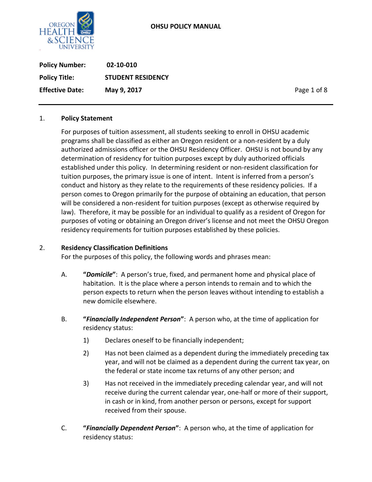

**Policy Number: 02-10-010 Policy Title: STUDENT RESIDENCY Effective Date: May 9, 2017 Page 1 of 8** 

## 1. **Policy Statement**

For purposes of tuition assessment, all students seeking to enroll in OHSU academic programs shall be classified as either an Oregon resident or a non-resident by a duly authorized admissions officer or the OHSU Residency Officer. OHSU is not bound by any determination of residency for tuition purposes except by duly authorized officials established under this policy. In determining resident or non-resident classification for tuition purposes, the primary issue is one of intent. Intent is inferred from a person's conduct and history as they relate to the requirements of these residency policies. If a person comes to Oregon primarily for the purpose of obtaining an education, that person will be considered a non-resident for tuition purposes (except as otherwise required by law). Therefore, it may be possible for an individual to qualify as a resident of Oregon for purposes of voting or obtaining an Oregon driver's license and not meet the OHSU Oregon residency requirements for tuition purposes established by these policies.

#### 2. **Residency Classification Definitions**

For the purposes of this policy, the following words and phrases mean:

- A. **"***Domicile***"**: A person's true, fixed, and permanent home and physical place of habitation. It is the place where a person intends to remain and to which the person expects to return when the person leaves without intending to establish a new domicile elsewhere.
- B. **"***Financially Independent Person***"**: A person who, at the time of application for residency status:
	- 1) Declares oneself to be financially independent;
	- 2) Has not been claimed as a dependent during the immediately preceding tax year, and will not be claimed as a dependent during the current tax year, on the federal or state income tax returns of any other person; and
	- 3) Has not received in the immediately preceding calendar year, and will not receive during the current calendar year, one-half or more of their support, in cash or in kind, from another person or persons, except for support received from their spouse.
- C. **"***Financially Dependent Person***"**: A person who, at the time of application for residency status: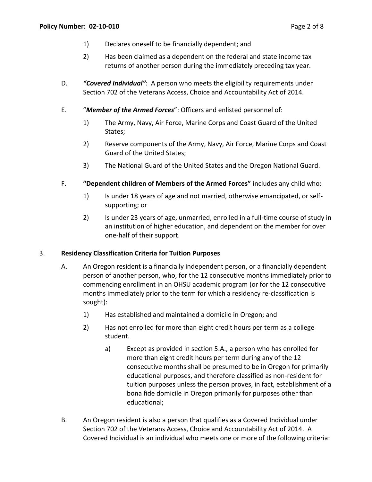- 1) Declares oneself to be financially dependent; and
- 2) Has been claimed as a dependent on the federal and state income tax returns of another person during the immediately preceding tax year.
- D. *"Covered Individual"*:A person who meets the eligibility requirements under Section 702 of the Veterans Access, Choice and Accountability Act of 2014.
- E. "*Member of the Armed Forces*": Officers and enlisted personnel of:
	- 1) The Army, Navy, Air Force, Marine Corps and Coast Guard of the United States;
	- 2) Reserve components of the Army, Navy, Air Force, Marine Corps and Coast Guard of the United States;
	- 3) The National Guard of the United States and the Oregon National Guard.
- F. **"Dependent children of Members of the Armed Forces"** includes any child who:
	- 1) Is under 18 years of age and not married, otherwise emancipated, or selfsupporting; or
	- 2) Is under 23 years of age, unmarried, enrolled in a full-time course of study in an institution of higher education, and dependent on the member for over one-half of their support.

## 3. **Residency Classification Criteria for Tuition Purposes**

- A. An Oregon resident is a financially independent person, or a financially dependent person of another person, who, for the 12 consecutive months immediately prior to commencing enrollment in an OHSU academic program (or for the 12 consecutive months immediately prior to the term for which a residency re-classification is sought):
	- 1) Has established and maintained a domicile in Oregon; and
	- 2) Has not enrolled for more than eight credit hours per term as a college student.
		- a) Except as provided in section 5.A., a person who has enrolled for more than eight credit hours per term during any of the 12 consecutive months shall be presumed to be in Oregon for primarily educational purposes, and therefore classified as non-resident for tuition purposes unless the person proves, in fact, establishment of a bona fide domicile in Oregon primarily for purposes other than educational;
- B. An Oregon resident is also a person that qualifies as a Covered Individual under Section 702 of the Veterans Access, Choice and Accountability Act of 2014. A Covered Individual is an individual who meets one or more of the following criteria: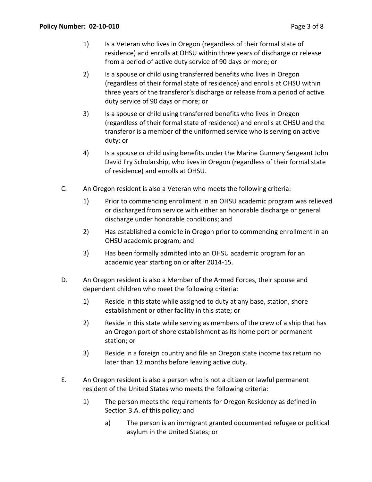- 1) Is a Veteran who lives in Oregon (regardless of their formal state of residence) and enrolls at OHSU within three years of discharge or release from a period of active duty service of 90 days or more; or
- 2) Is a spouse or child using transferred benefits who lives in Oregon (regardless of their formal state of residence) and enrolls at OHSU within three years of the transferor's discharge or release from a period of active duty service of 90 days or more; or
- 3) Is a spouse or child using transferred benefits who lives in Oregon (regardless of their formal state of residence) and enrolls at OHSU and the transferor is a member of the uniformed service who is serving on active duty; or
- 4) Is a spouse or child using benefits under the Marine Gunnery Sergeant John David Fry Scholarship, who lives in Oregon (regardless of their formal state of residence) and enrolls at OHSU.
- C. An Oregon resident is also a Veteran who meets the following criteria:
	- 1) Prior to commencing enrollment in an OHSU academic program was relieved or discharged from service with either an honorable discharge or general discharge under honorable conditions; and
	- 2) Has established a domicile in Oregon prior to commencing enrollment in an OHSU academic program; and
	- 3) Has been formally admitted into an OHSU academic program for an academic year starting on or after 2014-15.
- D. An Oregon resident is also a Member of the Armed Forces, their spouse and dependent children who meet the following criteria:
	- 1) Reside in this state while assigned to duty at any base, station, shore establishment or other facility in this state; or
	- 2) Reside in this state while serving as members of the crew of a ship that has an Oregon port of shore establishment as its home port or permanent station; or
	- 3) Reside in a foreign country and file an Oregon state income tax return no later than 12 months before leaving active duty.
- E. An Oregon resident is also a person who is not a citizen or lawful permanent resident of the United States who meets the following criteria:
	- 1) The person meets the requirements for Oregon Residency as defined in Section 3.A. of this policy; and
		- a) The person is an immigrant granted documented refugee or political asylum in the United States; or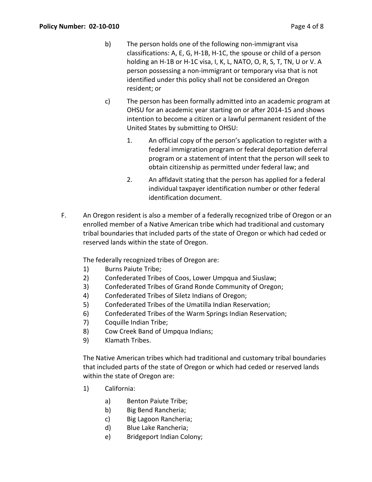- b) The person holds one of the following non-immigrant visa classifications: A, E, G, H-1B, H-1C, the spouse or child of a person holding an H-1B or H-1C visa, I, K, L, NATO, O, R, S, T, TN, U or V. A person possessing a non-immigrant or temporary visa that is not identified under this policy shall not be considered an Oregon resident; or
- c) The person has been formally admitted into an academic program at OHSU for an academic year starting on or after 2014-15 and shows intention to become a citizen or a lawful permanent resident of the United States by submitting to OHSU:
	- 1. An official copy of the person's application to register with a federal immigration program or federal deportation deferral program or a statement of intent that the person will seek to obtain citizenship as permitted under federal law; and
	- 2. An affidavit stating that the person has applied for a federal individual taxpayer identification number or other federal identification document.
- F. An Oregon resident is also a member of a federally recognized tribe of Oregon or an enrolled member of a Native American tribe which had traditional and customary tribal boundaries that included parts of the state of Oregon or which had ceded or reserved lands within the state of Oregon.

The federally recognized tribes of Oregon are:

- 1) Burns Paiute Tribe;
- 2) Confederated Tribes of Coos, Lower Umpqua and Siuslaw;
- 3) Confederated Tribes of Grand Ronde Community of Oregon;
- 4) Confederated Tribes of Siletz Indians of Oregon;
- 5) Confederated Tribes of the Umatilla Indian Reservation;
- 6) Confederated Tribes of the Warm Springs Indian Reservation;
- 7) Coquille Indian Tribe;
- 8) Cow Creek Band of Umpqua Indians;
- 9) Klamath Tribes.

The Native American tribes which had traditional and customary tribal boundaries that included parts of the state of Oregon or which had ceded or reserved lands within the state of Oregon are:

- 1) California:
	- a) Benton Paiute Tribe;
	- b) Big Bend Rancheria;
	- c) Big Lagoon Rancheria;
	- d) Blue Lake Rancheria;
	- e) Bridgeport Indian Colony;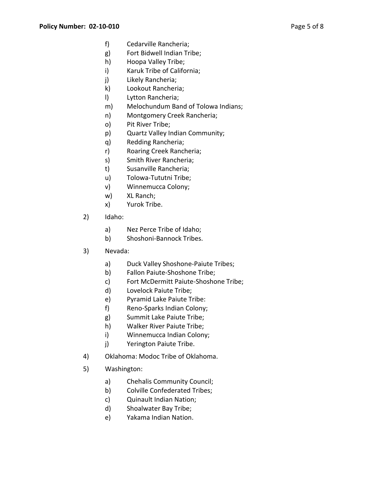- f) Cedarville Rancheria;
- g) Fort Bidwell Indian Tribe;
- h) Hoopa Valley Tribe;
- i) Karuk Tribe of California;
- j) Likely Rancheria;
- k) Lookout Rancheria;
- l) Lytton Rancheria;
- m) Melochundum Band of Tolowa Indians;
- n) Montgomery Creek Rancheria;
- o) Pit River Tribe;
- p) Quartz Valley Indian Community;
- q) Redding Rancheria;
- r) Roaring Creek Rancheria;
- s) Smith River Rancheria;
- t) Susanville Rancheria;
- u) Tolowa-Tututni Tribe;
- v) Winnemucca Colony;
- w) XL Ranch;
- x) Yurok Tribe.
- 2) Idaho:
	- a) Nez Perce Tribe of Idaho;
	- b) Shoshoni-Bannock Tribes.
- 3) Nevada:
	- a) Duck Valley Shoshone-Paiute Tribes;
	- b) Fallon Paiute-Shoshone Tribe;
	- c) Fort McDermitt Paiute-Shoshone Tribe;
	- d) Lovelock Paiute Tribe;
	- e) Pyramid Lake Paiute Tribe:
	- f) Reno-Sparks Indian Colony;
	- g) Summit Lake Paiute Tribe;
	- h) Walker River Paiute Tribe;
	- i) Winnemucca Indian Colony;
	- j) Yerington Paiute Tribe.
- 4) Oklahoma: Modoc Tribe of Oklahoma.
- 5) Washington:
	- a) Chehalis Community Council;
	- b) Colville Confederated Tribes;
	- c) Quinault Indian Nation;
	- d) Shoalwater Bay Tribe;
	- e) Yakama Indian Nation.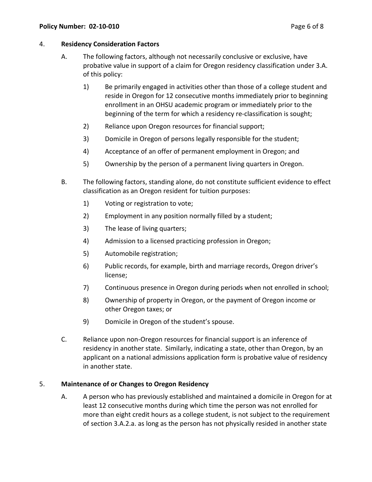### 4. **Residency Consideration Factors**

- A. The following factors, although not necessarily conclusive or exclusive, have probative value in support of a claim for Oregon residency classification under 3.A. of this policy:
	- 1) Be primarily engaged in activities other than those of a college student and reside in Oregon for 12 consecutive months immediately prior to beginning enrollment in an OHSU academic program or immediately prior to the beginning of the term for which a residency re-classification is sought;
	- 2) Reliance upon Oregon resources for financial support;
	- 3) Domicile in Oregon of persons legally responsible for the student;
	- 4) Acceptance of an offer of permanent employment in Oregon; and
	- 5) Ownership by the person of a permanent living quarters in Oregon.
- B. The following factors, standing alone, do not constitute sufficient evidence to effect classification as an Oregon resident for tuition purposes:
	- 1) Voting or registration to vote;
	- 2) Employment in any position normally filled by a student;
	- 3) The lease of living quarters;
	- 4) Admission to a licensed practicing profession in Oregon;
	- 5) Automobile registration;
	- 6) Public records, for example, birth and marriage records, Oregon driver's license;
	- 7) Continuous presence in Oregon during periods when not enrolled in school;
	- 8) Ownership of property in Oregon, or the payment of Oregon income or other Oregon taxes; or
	- 9) Domicile in Oregon of the student's spouse.
- C. Reliance upon non-Oregon resources for financial support is an inference of residency in another state. Similarly, indicating a state, other than Oregon, by an applicant on a national admissions application form is probative value of residency in another state.

## 5. **Maintenance of or Changes to Oregon Residency**

A. A person who has previously established and maintained a domicile in Oregon for at least 12 consecutive months during which time the person was not enrolled for more than eight credit hours as a college student, is not subject to the requirement of section 3.A.2.a. as long as the person has not physically resided in another state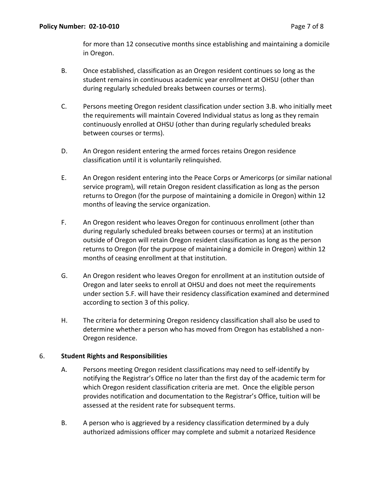for more than 12 consecutive months since establishing and maintaining a domicile in Oregon.

- B. Once established, classification as an Oregon resident continues so long as the student remains in continuous academic year enrollment at OHSU (other than during regularly scheduled breaks between courses or terms).
- C. Persons meeting Oregon resident classification under section 3.B. who initially meet the requirements will maintain Covered Individual status as long as they remain continuously enrolled at OHSU (other than during regularly scheduled breaks between courses or terms).
- D. An Oregon resident entering the armed forces retains Oregon residence classification until it is voluntarily relinquished.
- E. An Oregon resident entering into the Peace Corps or Americorps (or similar national service program), will retain Oregon resident classification as long as the person returns to Oregon (for the purpose of maintaining a domicile in Oregon) within 12 months of leaving the service organization.
- F. An Oregon resident who leaves Oregon for continuous enrollment (other than during regularly scheduled breaks between courses or terms) at an institution outside of Oregon will retain Oregon resident classification as long as the person returns to Oregon (for the purpose of maintaining a domicile in Oregon) within 12 months of ceasing enrollment at that institution.
- G. An Oregon resident who leaves Oregon for enrollment at an institution outside of Oregon and later seeks to enroll at OHSU and does not meet the requirements under section 5.F. will have their residency classification examined and determined according to section 3 of this policy.
- H. The criteria for determining Oregon residency classification shall also be used to determine whether a person who has moved from Oregon has established a non-Oregon residence.

## 6. **Student Rights and Responsibilities**

- A. Persons meeting Oregon resident classifications may need to self-identify by notifying the Registrar's Office no later than the first day of the academic term for which Oregon resident classification criteria are met. Once the eligible person provides notification and documentation to the Registrar's Office, tuition will be assessed at the resident rate for subsequent terms.
- B. A person who is aggrieved by a residency classification determined by a duly authorized admissions officer may complete and submit a notarized Residence